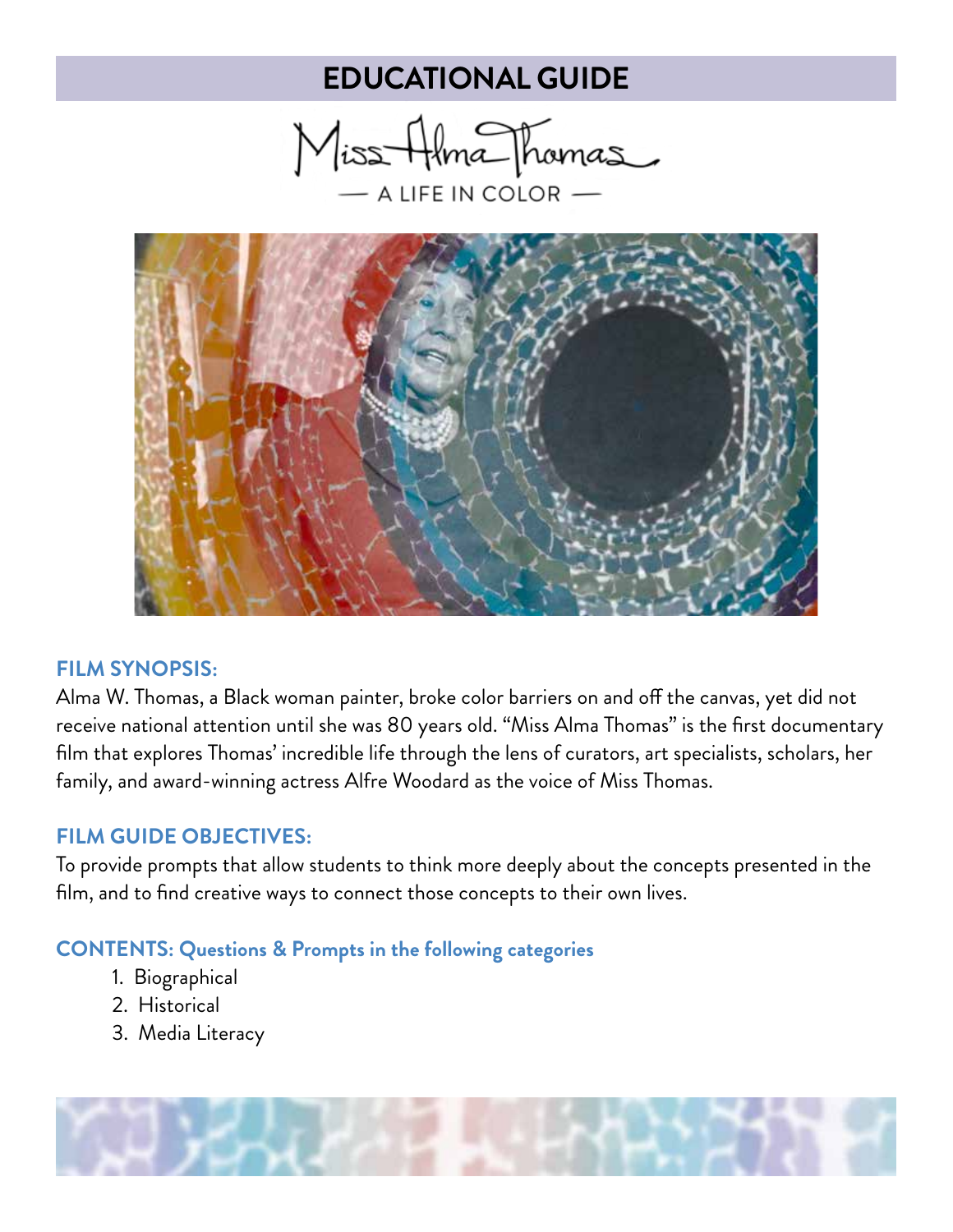Miss Alma Thomas  $-$  a life in color  $-$ 



#### **FILM SYNOPSIS:**

Alma W. Thomas, a Black woman painter, broke color barriers on and off the canvas, yet did not receive national attention until she was 80 years old. "Miss Alma Thomas" is the first documentary film that explores Thomas' incredible life through the lens of curators, art specialists, scholars, her family, and award-winning actress Alfre Woodard as the voice of Miss Thomas.

### **FILM GUIDE OBJECTIVES:**

To provide prompts that allow students to think more deeply about the concepts presented in the film, and to find creative ways to connect those concepts to their own lives.

#### **CONTENTS: Questions & Prompts in the following categories**

- 1. Biographical
- 2. Historical
- 3. Media Literacy

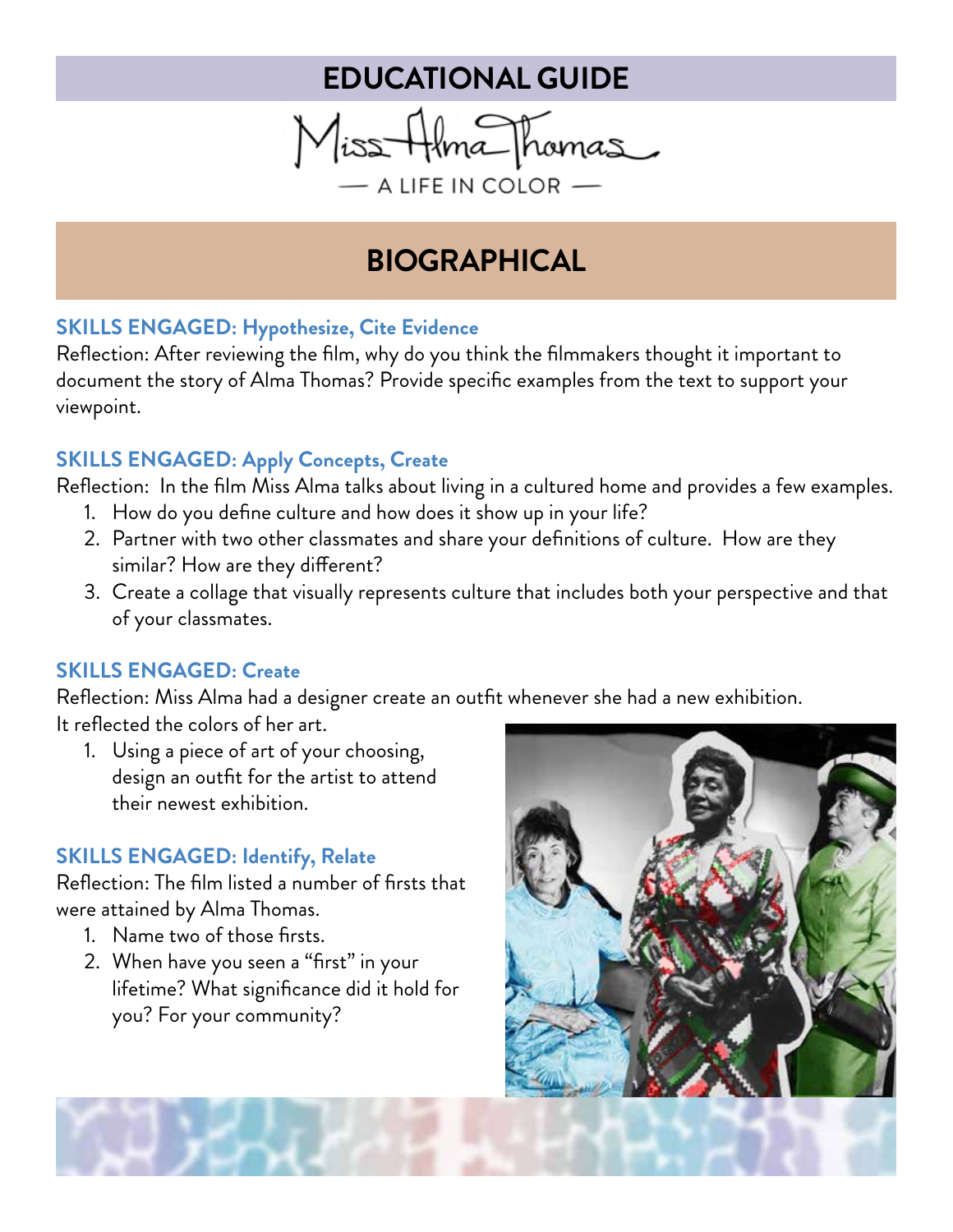

# **BIOGRAPHICAL**

### **SKILLS ENGAGED: Hypothesize, Cite Evidence**

Reflection: After reviewing the film, why do you think the filmmakers thought it important to document the story of Alma Thomas? Provide specific examples from the text to support your viewpoint.

### **SKILLS ENGAGED: Apply Concepts, Create**

Reflection: In the film Miss Alma talks about living in a cultured home and provides a few examples.

- 1. How do you define culture and how does it show up in your life?
- 2. Partner with two other classmates and share your definitions of culture. How are they similar? How are they different?
- 3. Create a collage that visually represents culture that includes both your perspective and that of your classmates.

### **SKILLS ENGAGED: Create**

Reflection: Miss Alma had a designer create an outfit whenever she had a new exhibition. It reflected the colors of her art.

1. Using a piece of art of your choosing, design an outfit for the artist to attend their newest exhibition.

### **SKILLS ENGAGED: Identify, Relate**

Reflection: The film listed a number of firsts that were attained by Alma Thomas.

- 1. Name two of those firsts.
- 2. When have you seen a "first" in your lifetime? What significance did it hold for you? For your community?

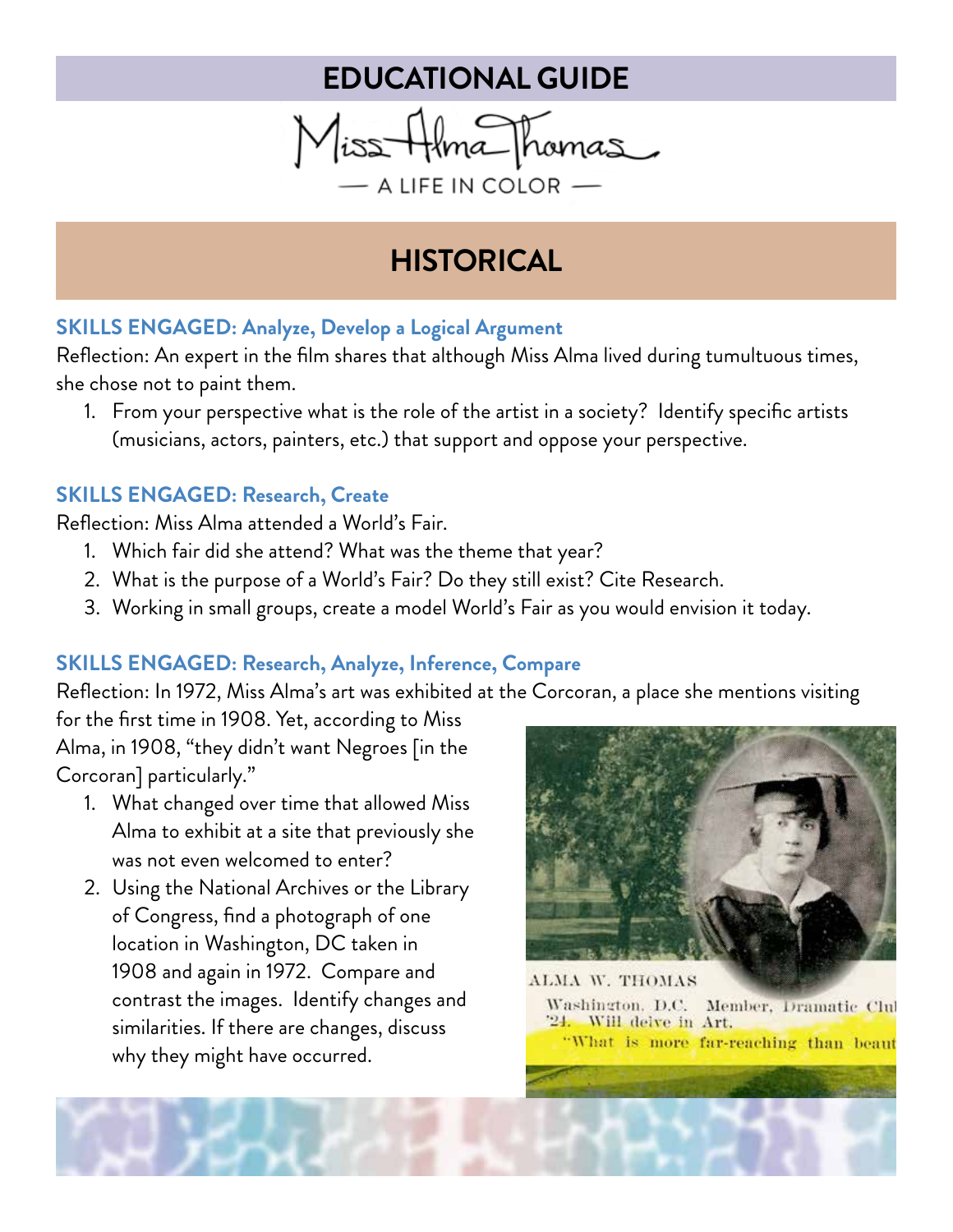Miss Alma Thomas  $-$  A LIFE IN COLOR  $-$ 

# **HISTORICAL**

### **SKILLS ENGAGED: Analyze, Develop a Logical Argument**

Reflection: An expert in the film shares that although Miss Alma lived during tumultuous times, she chose not to paint them.

1. From your perspective what is the role of the artist in a society? Identify specific artists (musicians, actors, painters, etc.) that support and oppose your perspective.

### **SKILLS ENGAGED: Research, Create**

Reflection: Miss Alma attended a World's Fair.

- 1. Which fair did she attend? What was the theme that year?
- 2. What is the purpose of a World's Fair? Do they still exist? Cite Research.
- 3. Working in small groups, create a model World's Fair as you would envision it today.

### **SKILLS ENGAGED: Research, Analyze, Inference, Compare**

Reflection: In 1972, Miss Alma's art was exhibited at the Corcoran, a place she mentions visiting

for the first time in 1908. Yet, according to Miss Alma, in 1908, "they didn't want Negroes [in the Corcoran] particularly."

- 1. What changed over time that allowed Miss Alma to exhibit at a site that previously she was not even welcomed to enter?
- 2. Using the National Archives or the Library of Congress, find a photograph of one location in Washington, DC taken in 1908 and again in 1972. Compare and contrast the images. Identify changes and similarities. If there are changes, discuss why they might have occurred.



ALMA W. THOMAS Washington, D.C. Member, Dramatic Clu '24. Will delve in Art. "What is more far-reaching than beaut